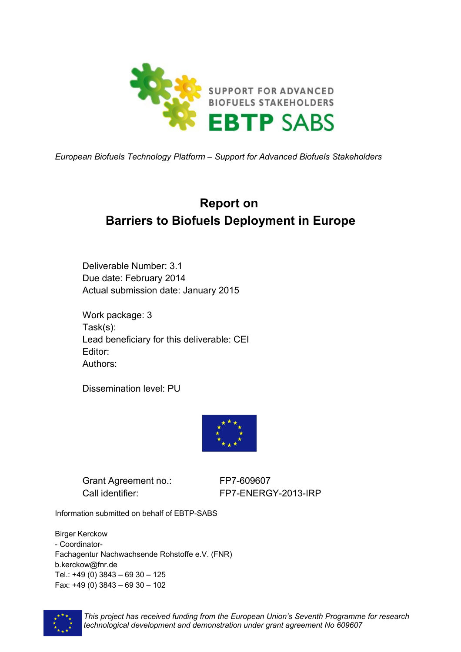

*European Biofuels Technology Platform – Support for Advanced Biofuels Stakeholders*

# **Report on Barriers to Biofuels Deployment in Europe**

Deliverable Number: 3.1 Due date: February 2014 Actual submission date: January 2015

Work package: 3 Task(s): Lead beneficiary for this deliverable: CEI Editor: Authors:

Dissemination level: PU



Grant Agreement no.: FP7-609607

Call identifier: FP7-ENERGY-2013-IRP

Information submitted on behalf of EBTP-SABS

Birger Kerckow - Coordinator-Fachagentur Nachwachsende Rohstoffe e.V. (FNR) b.kerckow@fnr.de Tel.: +49 (0) 3843 – 69 30 – 125 Fax: +49 (0) 3843 – 69 30 – 102



*This project has received funding from the European Union's Seventh Programme for research technological development and demonstration under grant agreement No 609607*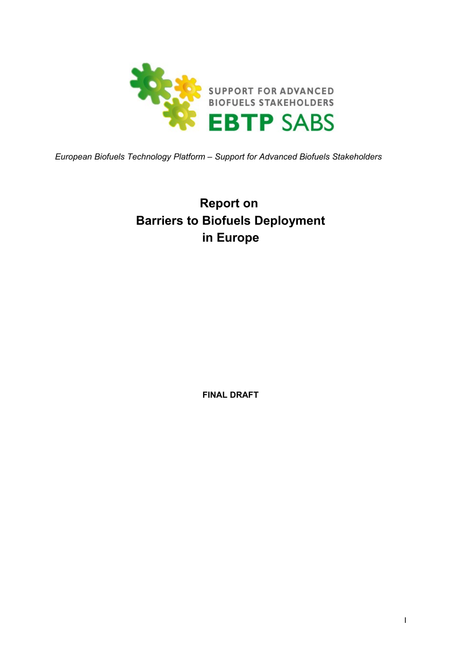

*European Biofuels Technology Platform – Support for Advanced Biofuels Stakeholders*

# **Report on Barriers to Biofuels Deployment in Europe**

**FINAL DRAFT**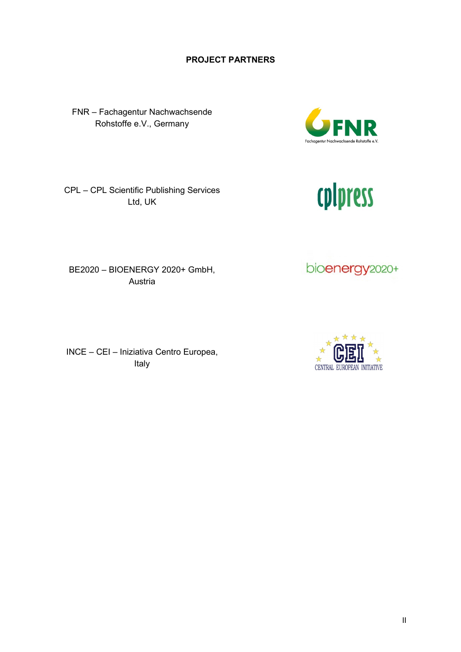#### **PROJECT PARTNERS**

FNR – Fachagentur Nachwachsende Rohstoffe e.V., Germany

Ltd, UK

BE2020 – BIOENERGY 2020+ GmbH, Austria

INCE – CEI – Iniziativa Centro Europea, Italy

# CPL – CPL Scientific Publishing Services

bioenergy<sub>2020+</sub>

cplpress



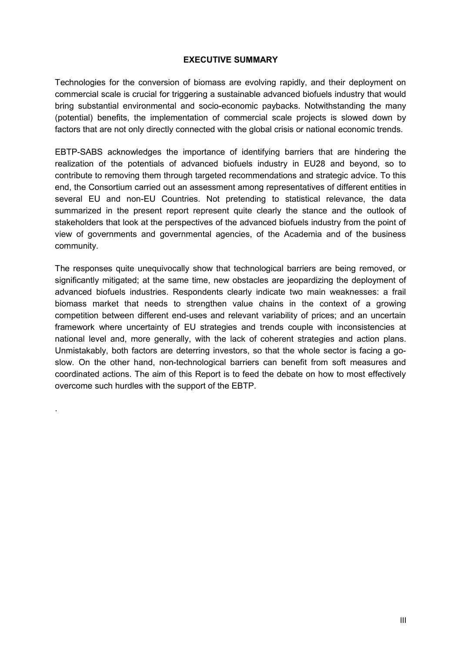#### **EXECUTIVE SUMMARY**

Technologies for the conversion of biomass are evolving rapidly, and their deployment on commercial scale is crucial for triggering a sustainable advanced biofuels industry that would bring substantial environmental and socio-economic paybacks. Notwithstanding the many (potential) benefits, the implementation of commercial scale projects is slowed down by factors that are not only directly connected with the global crisis or national economic trends.

EBTP-SABS acknowledges the importance of identifying barriers that are hindering the realization of the potentials of advanced biofuels industry in EU28 and beyond, so to contribute to removing them through targeted recommendations and strategic advice. To this end, the Consortium carried out an assessment among representatives of different entities in several EU and non-EU Countries. Not pretending to statistical relevance, the data summarized in the present report represent quite clearly the stance and the outlook of stakeholders that look at the perspectives of the advanced biofuels industry from the point of view of governments and governmental agencies, of the Academia and of the business community.

The responses quite unequivocally show that technological barriers are being removed, or significantly mitigated; at the same time, new obstacles are jeopardizing the deployment of advanced biofuels industries. Respondents clearly indicate two main weaknesses: a frail biomass market that needs to strengthen value chains in the context of a growing competition between different end-uses and relevant variability of prices; and an uncertain framework where uncertainty of EU strategies and trends couple with inconsistencies at national level and, more generally, with the lack of coherent strategies and action plans. Unmistakably, both factors are deterring investors, so that the whole sector is facing a goslow. On the other hand, non-technological barriers can benefit from soft measures and coordinated actions. The aim of this Report is to feed the debate on how to most effectively overcome such hurdles with the support of the EBTP.

.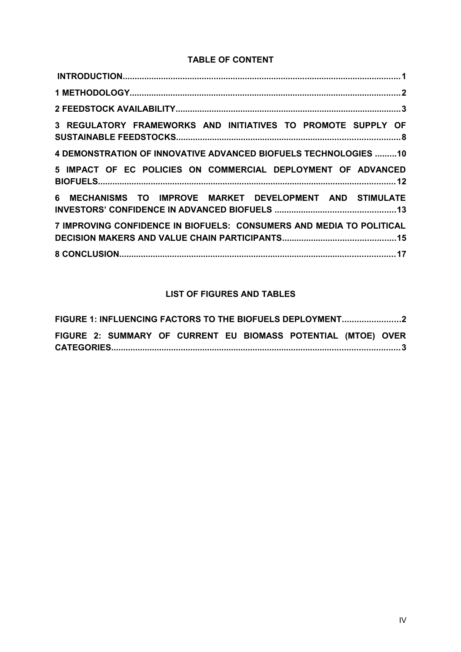#### **TABLE OF CONTENT**

| 3 REGULATORY FRAMEWORKS AND INITIATIVES TO PROMOTE SUPPLY OF         |  |
|----------------------------------------------------------------------|--|
| 4 DEMONSTRATION OF INNOVATIVE ADVANCED BIOFUELS TECHNOLOGIES 10      |  |
| 5 IMPACT OF EC POLICIES ON COMMERCIAL DEPLOYMENT OF ADVANCED         |  |
| 6 MECHANISMS TO IMPROVE MARKET DEVELOPMENT AND STIMULATE             |  |
| 7 IMPROVING CONFIDENCE IN BIOFUELS: CONSUMERS AND MEDIA TO POLITICAL |  |
|                                                                      |  |

### **LIST OF FIGURES AND TABLES**

| FIGURE 1: INFLUENCING FACTORS TO THE BIOFUELS DEPLOYMENT2 |  |  |  |  |  |  |                                                               |  |  |
|-----------------------------------------------------------|--|--|--|--|--|--|---------------------------------------------------------------|--|--|
|                                                           |  |  |  |  |  |  | FIGURE 2: SUMMARY OF CURRENT EU BIOMASS POTENTIAL (MTOE) OVER |  |  |
|                                                           |  |  |  |  |  |  |                                                               |  |  |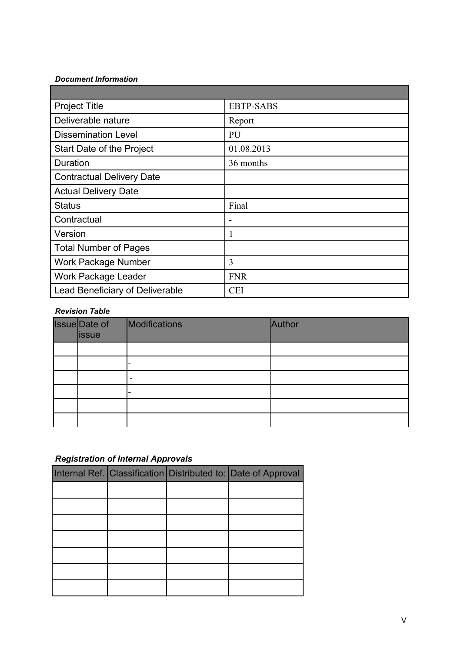#### *Document Information*

| <b>Project Title</b>                   | <b>EBTP-SABS</b> |
|----------------------------------------|------------------|
| Deliverable nature                     | Report           |
| <b>Dissemination Level</b>             | PU               |
| Start Date of the Project              | 01.08.2013       |
| Duration                               | 36 months        |
| <b>Contractual Delivery Date</b>       |                  |
| <b>Actual Delivery Date</b>            |                  |
| <b>Status</b>                          | Final            |
| Contractual                            | ۰                |
| Version                                | 1                |
| <b>Total Number of Pages</b>           |                  |
| Work Package Number                    | 3                |
| <b>Work Package Leader</b>             | <b>FNR</b>       |
| <b>Lead Beneficiary of Deliverable</b> | <b>CEI</b>       |

#### *Revision Table*

| Issue Date of<br><b>lissue</b> | Modifications | Author |
|--------------------------------|---------------|--------|
|                                |               |        |
|                                |               |        |
|                                | -             |        |
|                                |               |        |
|                                |               |        |
|                                |               |        |

### *Registration of Internal Approvals*

|  | Internal Ref. Classification Distributed to: Date of Approval |
|--|---------------------------------------------------------------|
|  |                                                               |
|  |                                                               |
|  |                                                               |
|  |                                                               |
|  |                                                               |
|  |                                                               |
|  |                                                               |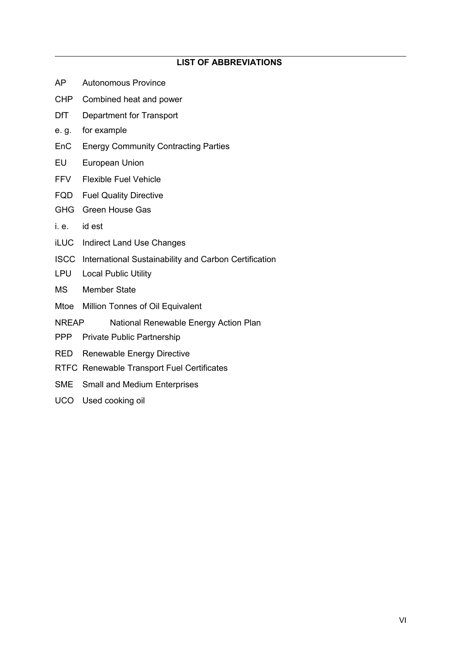#### **LIST OF ABBREVIATIONS**

- AP Autonomous Province
- CHP Combined heat and power
- DfT Department for Transport
- e. g. for example
- EnC Energy Community Contracting Parties
- EU European Union
- FFV Flexible Fuel Vehicle
- FQD Fuel Quality Directive
- GHG Green House Gas
- i. e. id est
- iLUC Indirect Land Use Changes
- ISCC International Sustainability and Carbon Certification
- LPU Local Public Utility
- MS Member State
- Mtoe Million Tonnes of Oil Equivalent
- NREAP National Renewable Energy Action Plan
- PPP Private Public Partnership
- RED Renewable Energy Directive
- RTFC Renewable Transport Fuel Certificates
- SME Small and Medium Enterprises
- UCO Used cooking oil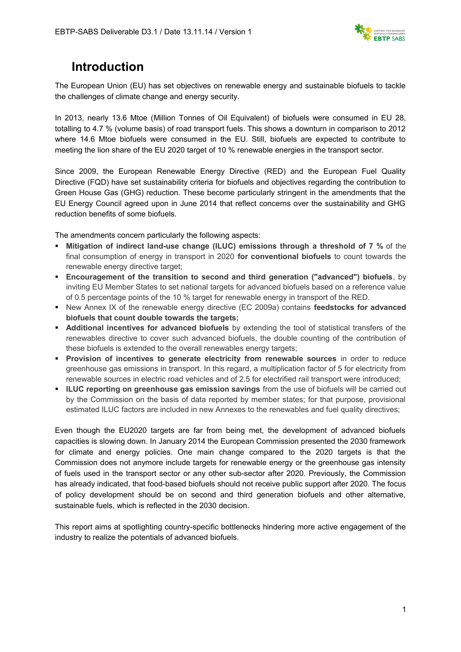

### **Introduction**

The European Union (EU) has set objectives on renewable energy and sustainable biofuels to tackle the challenges of climate change and energy security.

In 2013, nearly 13.6 Mtoe (Million Tonnes of Oil Equivalent) of biofuels were consumed in EU 28, totalling to 4.7 % (volume basis) of road transport fuels. This shows a downturn in comparison to 2012 where 14.6 Mtoe biofuels were consumed in the EU. Still, biofuels are expected to contribute to meeting the lion share of the EU 2020 target of 10 % renewable energies in the transport sector.

Since 2009, the European Renewable Energy Directive (RED) and the European Fuel Quality Directive (FQD) have set sustainability criteria for biofuels and objectives regarding the contribution to Green House Gas (GHG) reduction. These become particularly stringent in the amendments that the EU Energy Council agreed upon in June 2014 that reflect concerns over the sustainability and GHG reduction benefits of some biofuels.

The amendments concern particularly the following aspects:

- **Mitigation of indirect land-use change (ILUC) emissions through a threshold of 7 %** of the final consumption of energy in transport in 2020 **for conventional biofuels** to count towards the renewable energy directive target;
- **Encouragement of the transition to second and third generation ("advanced") biofuels**, by inviting EU Member States to set national targets for advanced biofuels based on a reference value of 0.5 percentage points of the 10 % target for renewable energy in transport of the RED.
- New Annex IX of the renewable energy directive (EC 2009a) contains **feedstocks for advanced biofuels that count double towards the targets;**
- **Additional incentives for advanced biofuels** by extending the tool of statistical transfers of the renewables directive to cover such advanced biofuels, the double counting of the contribution of these biofuels is extended to the overall renewables energy targets;
- **Provision of incentives to generate electricity from renewable sources** in order to reduce greenhouse gas emissions in transport. In this regard, a multiplication factor of 5 for electricity from renewable sources in electric road vehicles and of 2.5 for electrified rail transport were introduced;
- **ILUC reporting on greenhouse gas emission savings** from the use of biofuels will be carried out by the Commission on the basis of data reported by member states; for that purpose, provisional estimated ILUC factors are included in new Annexes to the renewables and fuel quality directives;

Even though the EU2020 targets are far from being met, the development of advanced biofuels capacities is slowing down. In January 2014 the European Commission presented the 2030 framework for climate and energy policies. One main change compared to the 2020 targets is that the Commission does not anymore include targets for renewable energy or the greenhouse gas intensity of fuels used in the transport sector or any other sub-sector after 2020. Previously, the Commission has already indicated, that food-based biofuels should not receive public support after 2020. The focus of policy development should be on second and third generation biofuels and other alternative, sustainable fuels, which is reflected in the 2030 decision.

This report aims at spotlighting country-specific bottlenecks hindering more active engagement of the industry to realize the potentials of advanced biofuels.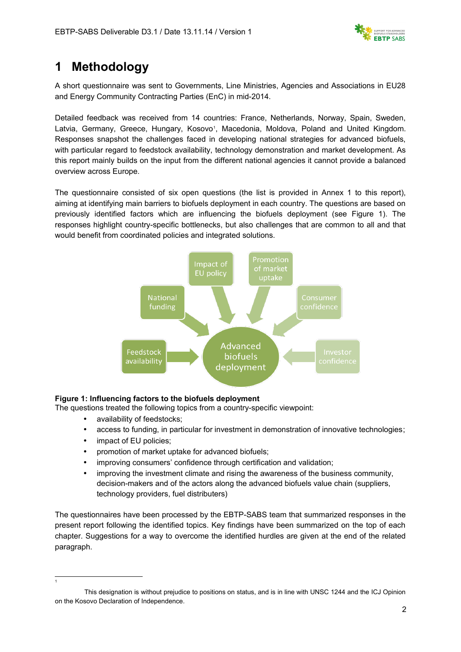

### **1 Methodology**

A short questionnaire was sent to Governments, Line Ministries, Agencies and Associations in EU28 and Energy Community Contracting Parties (EnC) in mid-2014.

Detailed feedback was received from 14 countries: France, Netherlands, Norway, Spain, Sweden, Latvia, Germany, Greece, Hungary, Kosovo<sup>[1](#page-8-0)</sup>, Macedonia, Moldova, Poland and United Kingdom. Responses snapshot the challenges faced in developing national strategies for advanced biofuels, with particular regard to feedstock availability, technology demonstration and market development. As this report mainly builds on the input from the different national agencies it cannot provide a balanced overview across Europe.

The questionnaire consisted of six open questions (the list is provided in Annex 1 to this report), aiming at identifying main barriers to biofuels deployment in each country. The questions are based on previously identified factors which are influencing the biofuels deployment (see Figure 1). The responses highlight country-specific bottlenecks, but also challenges that are common to all and that would benefit from coordinated policies and integrated solutions.



#### **Figure 1: Influencing factors to the biofuels deployment**

The questions treated the following topics from a country-specific viewpoint:

- availability of feedstocks;
- access to funding, in particular for investment in demonstration of innovative technologies;
- impact of EU policies;

<span id="page-8-0"></span>1

- promotion of market uptake for advanced biofuels;
- improving consumers' confidence through certification and validation;
- improving the investment climate and rising the awareness of the business community, decision-makers and of the actors along the advanced biofuels value chain (suppliers, technology providers, fuel distributers)

The questionnaires have been processed by the EBTP-SABS team that summarized responses in the present report following the identified topics. Key findings have been summarized on the top of each chapter. Suggestions for a way to overcome the identified hurdles are given at the end of the related paragraph.

This designation is without prejudice to positions on status, and is in line with UNSC 1244 and the ICJ Opinion on the Kosovo Declaration of Independence.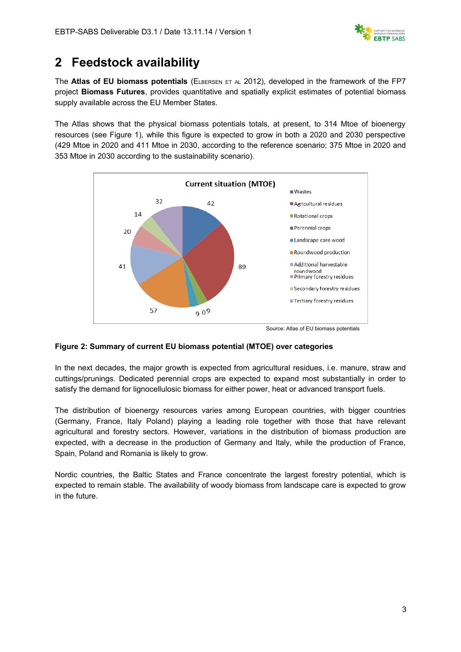

### **2 Feedstock availability**

The **Atlas of EU biomass potentials** (ELBERSEN ET AL 2012), developed in the framework of the FP7 project **Biomass Futures**, provides quantitative and spatially explicit estimates of potential biomass supply available across the EU Member States.

The Atlas shows that the physical biomass potentials totals, at present, to 314 Mtoe of bioenergy resources (see Figure 1), while this figure is expected to grow in both a 2020 and 2030 perspective (429 Mtoe in 2020 and 411 Mtoe in 2030, according to the reference scenario; 375 Mtoe in 2020 and 353 Mtoe in 2030 according to the sustainability scenario).



Source: Atlas of EU biomass potentials

#### **Figure 2: Summary of current EU biomass potential (MTOE) over categories**

In the next decades, the major growth is expected from agricultural residues, i.e. manure, straw and cuttings/prunings. Dedicated perennial crops are expected to expand most substantially in order to satisfy the demand for lignocellulosic biomass for either power, heat or advanced transport fuels.

The distribution of bioenergy resources varies among European countries, with bigger countries (Germany, France, Italy Poland) playing a leading role together with those that have relevant agricultural and forestry sectors. However, variations in the distribution of biomass production are expected, with a decrease in the production of Germany and Italy, while the production of France, Spain, Poland and Romania is likely to grow.

Nordic countries, the Baltic States and France concentrate the largest forestry potential, which is expected to remain stable. The availability of woody biomass from landscape care is expected to grow in the future.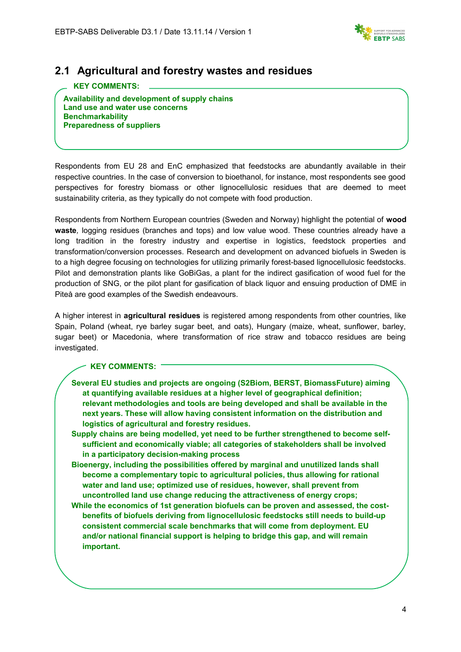

### **2.1 Agricultural and forestry wastes and residues**

### **KEY COMMENTS:**

**Availability and development of supply chains Land use and water use concerns Benchmarkability Preparedness of suppliers**

Respondents from EU 28 and EnC emphasized that feedstocks are abundantly available in their respective countries. In the case of conversion to bioethanol, for instance, most respondents see good perspectives for forestry biomass or other lignocellulosic residues that are deemed to meet sustainability criteria, as they typically do not compete with food production.

Respondents from Northern European countries (Sweden and Norway) highlight the potential of **wood waste***,* logging residues (branches and tops) and low value wood. These countries already have a long tradition in the forestry industry and expertise in logistics, feedstock properties and transformation/conversion processes. Research and development on advanced biofuels in Sweden is to a high degree focusing on technologies for utilizing primarily forest-based lignocellulosic feedstocks. Pilot and demonstration plants like GoBiGas, a plant for the indirect gasification of wood fuel for the production of SNG, or the pilot plant for gasification of black liquor and ensuing production of DME in Piteå are good examples of the Swedish endeavours.

A higher interest in **agricultural residues** is registered among respondents from other countries, like Spain, Poland (wheat, rye barley sugar beet, and oats), Hungary (maize, wheat, sunflower, barley, sugar beet) or Macedonia, where transformation of rice straw and tobacco residues are being investigated.

#### **KEY COMMENTS:**

- **Several EU studies and projects are ongoing (S2Biom, BERST, BiomassFuture) aiming at quantifying available residues at a higher level of geographical definition; relevant methodologies and tools are being developed and shall be available in the next years. These will allow having consistent information on the distribution and logistics of agricultural and forestry residues.**
- **Supply chains are being modelled, yet need to be further strengthened to become selfsufficient and economically viable; all categories of stakeholders shall be involved in a participatory decision-making process**
- **Bioenergy, including the possibilities offered by marginal and unutilized lands shall become a complementary topic to agricultural policies, thus allowing for rational water and land use; optimized use of residues, however, shall prevent from uncontrolled land use change reducing the attractiveness of energy crops;**
- **While the economics of 1st generation biofuels can be proven and assessed, the costbenefits of biofuels deriving from lignocellulosic feedstocks still needs to build-up consistent commercial scale benchmarks that will come from deployment. EU and/or national financial support is helping to bridge this gap, and will remain important.**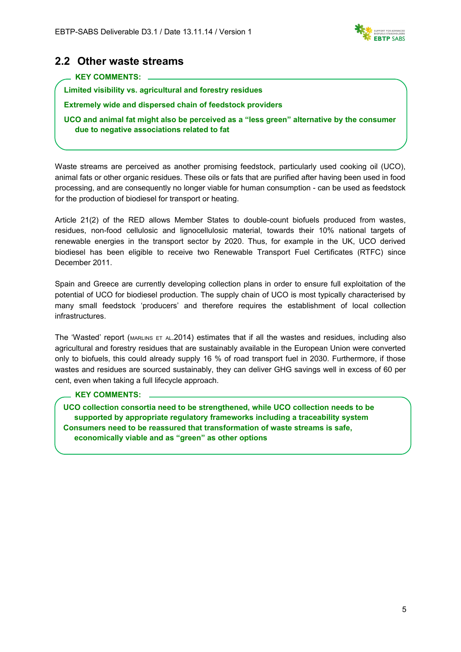

### **2.2 Other waste streams**

#### **KEY COMMENTS:**

**Limited visibility vs. agricultural and forestry residues** 

**Extremely wide and dispersed chain of feedstock providers** 

**UCO and animal fat might also be perceived as a "less green" alternative by the consumer due to negative associations related to fat**

Waste streams are perceived as another promising feedstock, particularly used cooking oil (UCO), animal fats or other organic residues. These oils or fats that are purified after having been used in food processing, and are consequently no longer viable for human consumption - can be used as feedstock for the production of biodiesel for transport or heating.

Article 21(2) of the RED allows Member States to double-count biofuels produced from wastes, residues, non-food cellulosic and lignocellulosic material, towards their 10% national targets of renewable energies in the transport sector by 2020. Thus, for example in the UK, UCO derived biodiesel has been eligible to receive two Renewable Transport Fuel Certificates (RTFC) since December 2011.

Spain and Greece are currently developing collection plans in order to ensure full exploitation of the potential of UCO for biodiesel production. The supply chain of UCO is most typically characterised by many small feedstock 'producers' and therefore requires the establishment of local collection infrastructures.

The 'Wasted' report (MARLINS ET AL.2014) estimates that if all the wastes and residues, including also agricultural and forestry residues that are sustainably available in the European Union were converted only to biofuels, this could already supply 16 % of road transport fuel in 2030. Furthermore, if those wastes and residues are sourced sustainably, they can deliver GHG savings well in excess of 60 per cent, even when taking a full lifecycle approach.

#### **KEY COMMENTS:**

**UCO collection consortia need to be strengthened, while UCO collection needs to be supported by appropriate regulatory frameworks including a traceability system Consumers need to be reassured that transformation of waste streams is safe, economically viable and as "green" as other options**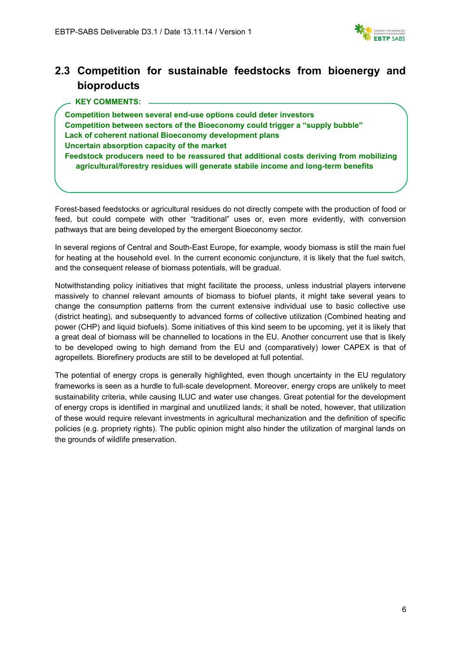

### **2.3 Competition for sustainable feedstocks from bioenergy and bioproducts**

| Competition between several end-use options could deter investors                                                                                                             |
|-------------------------------------------------------------------------------------------------------------------------------------------------------------------------------|
| Competition between sectors of the Bioeconomy could trigger a "supply bubble"                                                                                                 |
| Lack of coherent national Bioeconomy development plans                                                                                                                        |
| Uncertain absorption capacity of the market                                                                                                                                   |
| Feedstock producers need to be reassured that additional costs deriving from mobilizing<br>agricultural/forestry residues will generate stabile income and long-term benefits |

Forest-based feedstocks or agricultural residues do not directly compete with the production of food or feed, but could compete with other "traditional" uses or, even more evidently, with conversion pathways that are being developed by the emergent Bioeconomy sector.

In several regions of Central and South-East Europe, for example, woody biomass is still the main fuel for heating at the household evel. In the current economic conjuncture, it is likely that the fuel switch, and the consequent release of biomass potentials, will be gradual.

Notwithstanding policy initiatives that might facilitate the process, unless industrial players intervene massively to channel relevant amounts of biomass to biofuel plants, it might take several years to change the consumption patterns from the current extensive individual use to basic collective use (district heating), and subsequently to advanced forms of collective utilization (Combined heating and power (CHP) and liquid biofuels). Some initiatives of this kind seem to be upcoming, yet it is likely that a great deal of biomass will be channelled to locations in the EU. Another concurrent use that is likely to be developed owing to high demand from the EU and (comparatively) lower CAPEX is that of agropellets. Biorefinery products are still to be developed at full potential.

The potential of energy crops is generally highlighted, even though uncertainty in the EU regulatory frameworks is seen as a hurdle to full-scale development. Moreover, energy crops are unlikely to meet sustainability criteria, while causing ILUC and water use changes. Great potential for the development of energy crops is identified in marginal and unutilized lands; it shall be noted, however, that utilization of these would require relevant investments in agricultural mechanization and the definition of specific policies (e.g. propriety rights). The public opinion might also hinder the utilization of marginal lands on the grounds of wildlife preservation.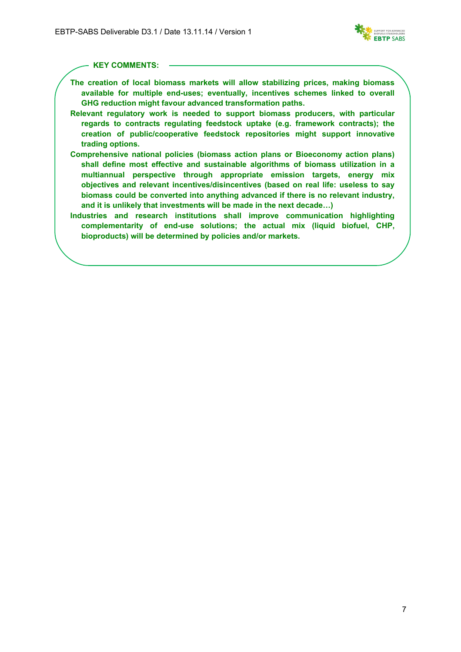

#### **KEY COMMENTS:**

- **The creation of local biomass markets will allow stabilizing prices, making biomass available for multiple end-uses; eventually, incentives schemes linked to overall GHG reduction might favour advanced transformation paths.**
- **Relevant regulatory work is needed to support biomass producers, with particular regards to contracts regulating feedstock uptake (e.g. framework contracts); the creation of public/cooperative feedstock repositories might support innovative trading options.**
- **Comprehensive national policies (biomass action plans or Bioeconomy action plans) shall define most effective and sustainable algorithms of biomass utilization in a multiannual perspective through appropriate emission targets, energy mix objectives and relevant incentives/disincentives (based on real life: useless to say biomass could be converted into anything advanced if there is no relevant industry, and it is unlikely that investments will be made in the next decade…)**
- **Industries and research institutions shall improve communication highlighting complementarity of end-use solutions; the actual mix (liquid biofuel, CHP, bioproducts) will be determined by policies and/or markets.**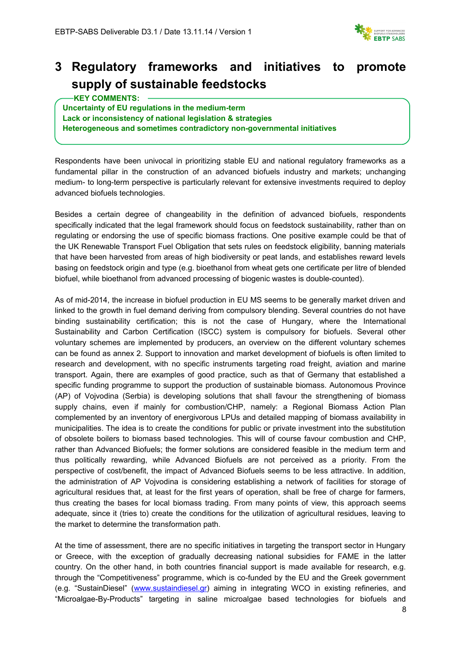

### **3 Regulatory frameworks and initiatives to promote supply of sustainable feedstocks**

#### **KEY COMMENTS:**

**Uncertainty of EU regulations in the medium-term Lack or inconsistency of national legislation & strategies Heterogeneous and sometimes contradictory non-governmental initiatives**

Respondents have been univocal in prioritizing stable EU and national regulatory frameworks as a fundamental pillar in the construction of an advanced biofuels industry and markets; unchanging medium- to long-term perspective is particularly relevant for extensive investments required to deploy advanced biofuels technologies.

Besides a certain degree of changeability in the definition of advanced biofuels, respondents specifically indicated that the legal framework should focus on feedstock sustainability, rather than on regulating or endorsing the use of specific biomass fractions. One positive example could be that of the UK Renewable Transport Fuel Obligation that sets rules on feedstock eligibility, banning materials that have been harvested from areas of high biodiversity or peat lands, and establishes reward levels basing on feedstock origin and type (e.g. bioethanol from wheat gets one certificate per litre of blended biofuel, while bioethanol from advanced processing of biogenic wastes is double-counted).

As of mid-2014, the increase in biofuel production in EU MS seems to be generally market driven and linked to the growth in fuel demand deriving from compulsory blending. Several countries do not have binding sustainability certification; this is not the case of Hungary, where the International Sustainability and Carbon Certification (ISCC) system is compulsory for biofuels. Several other voluntary schemes are implemented by producers, an overview on the different voluntary schemes can be found as annex 2. Support to innovation and market development of biofuels is often limited to research and development, with no specific instruments targeting road freight, aviation and marine transport. Again, there are examples of good practice, such as that of Germany that established a specific funding programme to support the production of sustainable biomass. Autonomous Province (AP) of Vojvodina (Serbia) is developing solutions that shall favour the strengthening of biomass supply chains, even if mainly for combustion/CHP, namely: a Regional Biomass Action Plan complemented by an inventory of energivorous LPUs and detailed mapping of biomass availability in municipalities. The idea is to create the conditions for public or private investment into the substitution of obsolete boilers to biomass based technologies. This will of course favour combustion and CHP, rather than Advanced Biofuels; the former solutions are considered feasible in the medium term and thus politically rewarding, while Advanced Biofuels are not perceived as a priority. From the perspective of cost/benefit, the impact of Advanced Biofuels seems to be less attractive. In addition, the administration of AP Vojvodina is considering establishing a network of facilities for storage of agricultural residues that, at least for the first years of operation, shall be free of charge for farmers, thus creating the bases for local biomass trading. From many points of view, this approach seems adequate, since it (tries to) create the conditions for the utilization of agricultural residues, leaving to the market to determine the transformation path.

At the time of assessment, there are no specific initiatives in targeting the transport sector in Hungary or Greece, with the exception of gradually decreasing national subsidies for FAME in the latter country. On the other hand, in both countries financial support is made available for research, e.g. through the "Competitiveness" programme, which is co-funded by the EU and the Greek government (e.g. "SustainDiesel" [\(www.sustaindiesel.gr\)](http://www.sustaindiesel.gr/) aiming in integrating WCO in existing refineries, and "Microalgae-By-Products" targeting in saline microalgae based technologies for biofuels and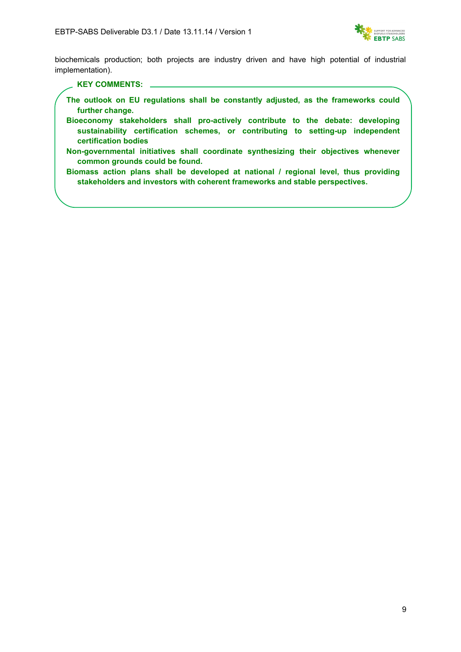

biochemicals production; both projects are industry driven and have high potential of industrial implementation).

#### **KEY COMMENTS:**

- **The outlook on EU regulations shall be constantly adjusted, as the frameworks could further change.**
- **Bioeconomy stakeholders shall pro-actively contribute to the debate: developing sustainability certification schemes, or contributing to setting-up independent certification bodies**
- **Non-governmental initiatives shall coordinate synthesizing their objectives whenever common grounds could be found.**
- **Biomass action plans shall be developed at national / regional level, thus providing stakeholders and investors with coherent frameworks and stable perspectives.**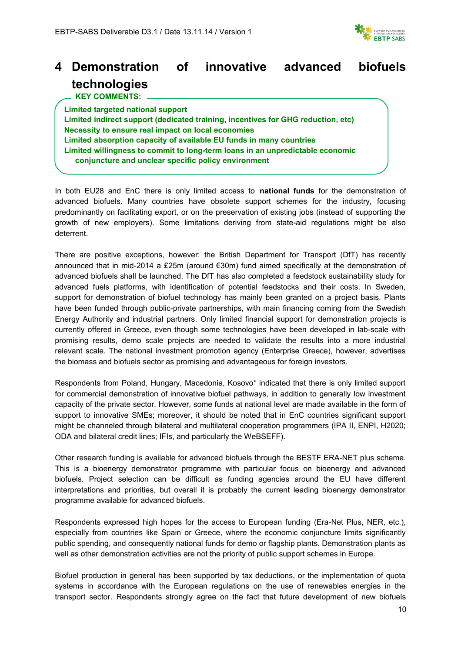

# **4 Demonstration of innovative advanced biofuels technologies**

 **KEY COMMENTS:**

**Limited targeted national support Limited indirect support (dedicated training, incentives for GHG reduction, etc) Necessity to ensure real impact on local economies Limited absorption capacity of available EU funds in many countries Limited willingness to commit to long-term loans in an unpredictable economic conjuncture and unclear specific policy environment**

In both EU28 and EnC there is only limited access to **national funds** for the demonstration of advanced biofuels. Many countries have obsolete support schemes for the industry, focusing predominantly on facilitating export, or on the preservation of existing jobs (instead of supporting the growth of new employers). Some limitations deriving from state-aid regulations might be also deterrent.

There are positive exceptions, however: the British Department for Transport (DfT) has recently announced that in mid-2014 a £25m (around €30m) fund aimed specifically at the demonstration of advanced biofuels shall be launched. The DfT has also completed a feedstock sustainability study for advanced fuels platforms, with identification of potential feedstocks and their costs. In Sweden, support for demonstration of biofuel technology has mainly been granted on a project basis. Plants have been funded through public-private partnerships, with main financing coming from the Swedish Energy Authority and industrial partners. Only limited financial support for demonstration projects is currently offered in Greece, even though some technologies have been developed in lab-scale with promising results, demo scale projects are needed to validate the results into a more industrial relevant scale. The national investment promotion agency (Enterprise Greece), however, advertises the biomass and biofuels sector as promising and advantageous for foreign investors.

Respondents from Poland, Hungary, Macedonia, Kosovo\* indicated that there is only limited support for commercial demonstration of innovative biofuel pathways, in addition to generally low investment capacity of the private sector. However, some funds at national level are made available in the form of support to innovative SMEs; moreover, it should be noted that in EnC countries significant support might be channeled through bilateral and multilateral cooperation programmers (IPA II, ENPI, H2020; ODA and bilateral credit lines; IFIs, and particularly the WeBSEFF).

Other research funding is available for advanced biofuels through the BESTF ERA-NET plus scheme. This is a bioenergy demonstrator programme with particular focus on bioenergy and advanced biofuels. Project selection can be difficult as funding agencies around the EU have different interpretations and priorities, but overall it is probably the current leading bioenergy demonstrator programme available for advanced biofuels.

Respondents expressed high hopes for the access to European funding (Era-Net Plus, NER, etc.), especially from countries like Spain or Greece, where the economic conjuncture limits significantly public spending, and consequently national funds for demo or flagship plants. Demonstration plants as well as other demonstration activities are not the priority of public support schemes in Europe.

Biofuel production in general has been supported by tax deductions, or the implementation of quota systems in accordance with the European regulations on the use of renewables energies in the transport sector. Respondents strongly agree on the fact that future development of new biofuels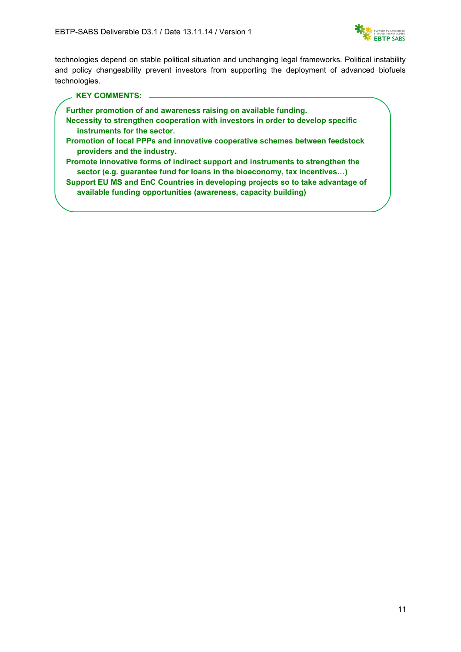

technologies depend on stable political situation and unchanging legal frameworks. Political instability and policy changeability prevent investors from supporting the deployment of advanced biofuels technologies.

#### **KEY COMMENTS:**

**Further promotion of and awareness raising on available funding.**

- **Necessity to strengthen cooperation with investors in order to develop specific instruments for the sector.**
- **Promotion of local PPPs and innovative cooperative schemes between feedstock providers and the industry.**
- **Promote innovative forms of indirect support and instruments to strengthen the sector (e.g. guarantee fund for loans in the bioeconomy, tax incentives…)**

**Support EU MS and EnC Countries in developing projects so to take advantage of available funding opportunities (awareness, capacity building)**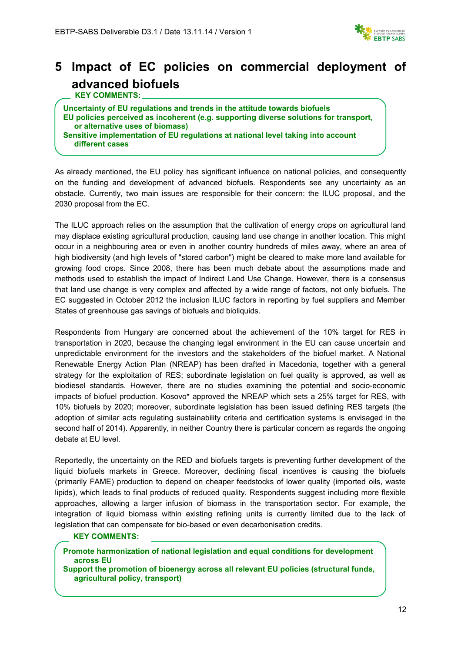

# **5 Impact of EC policies on commercial deployment of advanced biofuels**

 **KEY COMMENTS:**

**Uncertainty of EU regulations and trends in the attitude towards biofuels EU policies perceived as incoherent (e.g. supporting diverse solutions for transport, or alternative uses of biomass) Sensitive implementation of EU regulations at national level taking into account different cases**

As already mentioned, the EU policy has significant influence on national policies, and consequently on the funding and development of advanced biofuels. Respondents see any uncertainty as an obstacle. Currently, two main issues are responsible for their concern: the ILUC proposal, and the 2030 proposal from the EC.

The ILUC approach relies on the assumption that the cultivation of energy crops on agricultural land may displace existing agricultural production, causing land use change in another location. This might occur in a neighbouring area or even in another country hundreds of miles away, where an area of high biodiversity (and high levels of "stored carbon") might be cleared to make more land available for growing food crops. Since 2008, there has been much debate about the assumptions made and methods used to establish the impact of Indirect Land Use Change. However, there is a consensus that land use change is very complex and affected by a wide range of factors, not only biofuels. The EC suggested in October 2012 the inclusion ILUC factors in reporting by fuel suppliers and Member States of greenhouse gas savings of biofuels and bioliquids.

Respondents from Hungary are concerned about the achievement of the 10% target for RES in transportation in 2020, because the changing legal environment in the EU can cause uncertain and unpredictable environment for the investors and the stakeholders of the biofuel market. A National Renewable Energy Action Plan (NREAP) has been drafted in Macedonia, together with a general strategy for the exploitation of RES; subordinate legislation on fuel quality is approved, as well as biodiesel standards. However, there are no studies examining the potential and socio-economic impacts of biofuel production. Kosovo\* approved the NREAP which sets a 25% target for RES, with 10% biofuels by 2020; moreover, subordinate legislation has been issued defining RES targets (the adoption of similar acts regulating sustainability criteria and certification systems is envisaged in the second half of 2014). Apparently, in neither Country there is particular concern as regards the ongoing debate at EU level.

Reportedly, the uncertainty on the RED and biofuels targets is preventing further development of the liquid biofuels markets in Greece. Moreover, declining fiscal incentives is causing the biofuels (primarily FAME) production to depend on cheaper feedstocks of lower quality (imported oils, waste lipids), which leads to final products of reduced quality. Respondents suggest including more flexible approaches, allowing a larger infusion of biomass in the transportation sector. For example, the integration of liquid biomass within existing refining units is currently limited due to the lack of legislation that can compensate for bio-based or even decarbonisation credits.

#### **KEY COMMENTS:**

**Promote harmonization of national legislation and equal conditions for development across EU**

**Support the promotion of bioenergy across all relevant EU policies (structural funds, agricultural policy, transport)**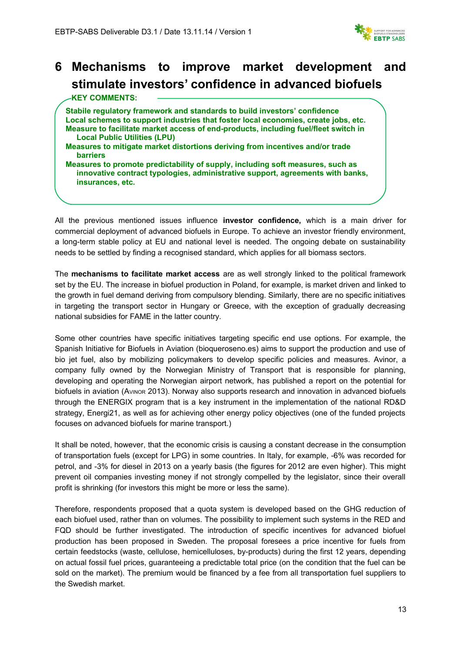

# **6 Mechanisms to improve market development and stimulate investors' confidence in advanced biofuels**

| Stabile regulatory framework and standards to build investors' confidence                                                                                                            |  |
|--------------------------------------------------------------------------------------------------------------------------------------------------------------------------------------|--|
| Local schemes to support industries that foster local economies, create jobs, etc.                                                                                                   |  |
| Measure to facilitate market access of end-products, including fuel/fleet switch in<br><b>Local Public Utilities (LPU)</b>                                                           |  |
| Measures to mitigate market distortions deriving from incentives and/or trade<br><b>barriers</b>                                                                                     |  |
| Measures to promote predictability of supply, including soft measures, such as<br>innovative contract typologies, administrative support, agreements with banks,<br>insurances, etc. |  |

All the previous mentioned issues influence **investor confidence,** which is a main driver for commercial deployment of advanced biofuels in Europe. To achieve an investor friendly environment, a long-term stable policy at EU and national level is needed. The ongoing debate on sustainability needs to be settled by finding a recognised standard, which applies for all biomass sectors.

The **mechanisms to facilitate market access** are as well strongly linked to the political framework set by the EU. The increase in biofuel production in Poland, for example, is market driven and linked to the growth in fuel demand deriving from compulsory blending. Similarly, there are no specific initiatives in targeting the transport sector in Hungary or Greece, with the exception of gradually decreasing national subsidies for FAME in the latter country.

Some other countries have specific initiatives targeting specific end use options. For example, the Spanish Initiative for Biofuels in Aviation (bioqueroseno.es) aims to support the production and use of bio jet fuel, also by mobilizing policymakers to develop specific policies and measures. Avinor, a company fully owned by the Norwegian Ministry of Transport that is responsible for planning, developing and operating the Norwegian airport network, has published a report on the potential for biofuels in aviation (AVINOR 2013). Norway also supports research and innovation in advanced biofuels through the ENERGIX program that is a key instrument in the implementation of the national RD&D strategy, Energi21, as well as for achieving other energy policy objectives (one of the funded projects focuses on advanced biofuels for marine transport.)

It shall be noted, however, that the economic crisis is causing a constant decrease in the consumption of transportation fuels (except for LPG) in some countries. In Italy, for example, -6% was recorded for petrol, and -3% for diesel in 2013 on a yearly basis (the figures for 2012 are even higher). This might prevent oil companies investing money if not strongly compelled by the legislator, since their overall profit is shrinking (for investors this might be more or less the same).

Therefore, respondents proposed that a quota system is developed based on the GHG reduction of each biofuel used, rather than on volumes. The possibility to implement such systems in the RED and FQD should be further investigated. The introduction of specific incentives for advanced biofuel production has been proposed in Sweden. The proposal foresees a price incentive for fuels from certain feedstocks (waste, cellulose, hemicelluloses, by-products) during the first 12 years, depending on actual fossil fuel prices, guaranteeing a predictable total price (on the condition that the fuel can be sold on the market). The premium would be financed by a fee from all transportation fuel suppliers to the Swedish market.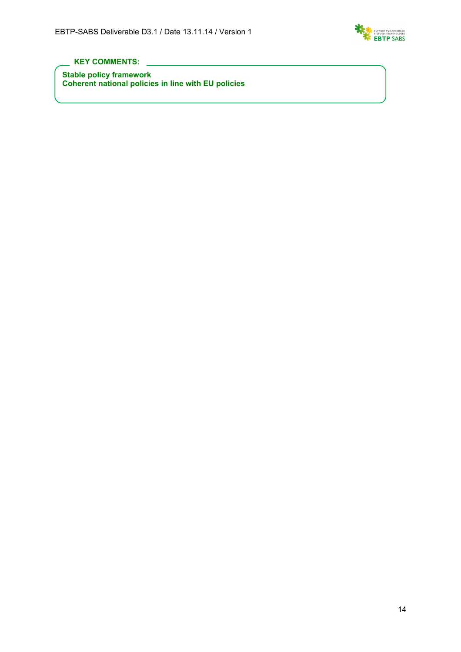

#### **KEY COMMENTS:**

**Stable policy framework Coherent national policies in line with EU policies**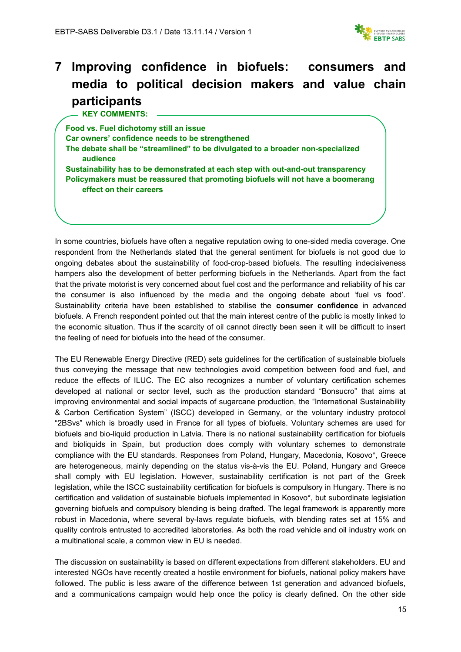

# **7 Improving confidence in biofuels: consumers and media to political decision makers and value chain participants**

 **KEY COMMENTS:**

**Food vs. Fuel dichotomy still an issue Car owners' confidence needs to be strengthened The debate shall be "streamlined" to be divulgated to a broader non-specialized audience Sustainability has to be demonstrated at each step with out-and-out transparency Policymakers must be reassured that promoting biofuels will not have a boomerang effect on their careers**

In some countries, biofuels have often a negative reputation owing to one-sided media coverage. One respondent from the Netherlands stated that the general sentiment for biofuels is not good due to ongoing debates about the sustainability of food-crop-based biofuels. The resulting indecisiveness hampers also the development of better performing biofuels in the Netherlands. Apart from the fact that the private motorist is very concerned about fuel cost and the performance and reliability of his car the consumer is also influenced by the media and the ongoing debate about 'fuel vs food'. Sustainability criteria have been established to stabilise the **consumer confidence** in advanced biofuels. A French respondent pointed out that the main interest centre of the public is mostly linked to the economic situation. Thus if the scarcity of oil cannot directly been seen it will be difficult to insert the feeling of need for biofuels into the head of the consumer.

The EU Renewable Energy Directive (RED) sets guidelines for the certification of sustainable biofuels thus conveying the message that new technologies avoid competition between food and fuel, and reduce the effects of ILUC. The EC also recognizes a number of voluntary certification schemes developed at national or sector level, such as the production standard "Bonsucro" that aims at improving environmental and social impacts of sugarcane production, the "International Sustainability & Carbon Certification System" (ISCC) developed in Germany, or the voluntary industry protocol "2BSvs" which is broadly used in France for all types of biofuels. Voluntary schemes are used for biofuels and bio-liquid production in Latvia. There is no national sustainability certification for biofuels and bioliquids in Spain, but production does comply with voluntary schemes to demonstrate compliance with the EU standards. Responses from Poland, Hungary, Macedonia, Kosovo\*, Greece are heterogeneous, mainly depending on the status vis-à-vis the EU. Poland, Hungary and Greece shall comply with EU legislation. However, sustainability certification is not part of the Greek legislation, while the ISCC sustainability certification for biofuels is compulsory in Hungary. There is no certification and validation of sustainable biofuels implemented in Kosovo\*, but subordinate legislation governing biofuels and compulsory blending is being drafted. The legal framework is apparently more robust in Macedonia, where several by-laws regulate biofuels, with blending rates set at 15% and quality controls entrusted to accredited laboratories. As both the road vehicle and oil industry work on a multinational scale, a common view in EU is needed.

The discussion on sustainability is based on different expectations from different stakeholders. EU and interested NGOs have recently created a hostile environment for biofuels, national policy makers have followed. The public is less aware of the difference between 1st generation and advanced biofuels, and a communications campaign would help once the policy is clearly defined. On the other side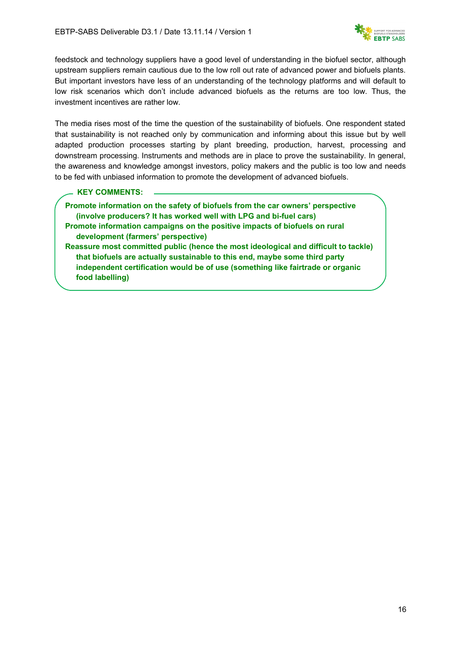

feedstock and technology suppliers have a good level of understanding in the biofuel sector, although upstream suppliers remain cautious due to the low roll out rate of advanced power and biofuels plants. But important investors have less of an understanding of the technology platforms and will default to low risk scenarios which don't include advanced biofuels as the returns are too low. Thus, the investment incentives are rather low.

The media rises most of the time the question of the sustainability of biofuels. One respondent stated that sustainability is not reached only by communication and informing about this issue but by well adapted production processes starting by plant breeding, production, harvest, processing and downstream processing. Instruments and methods are in place to prove the sustainability. In general, the awareness and knowledge amongst investors, policy makers and the public is too low and needs to be fed with unbiased information to promote the development of advanced biofuels.

**KEY COMMENTS:**

**Promote information on the safety of biofuels from the car owners' perspective (involve producers? It has worked well with LPG and bi-fuel cars) Promote information campaigns on the positive impacts of biofuels on rural development (farmers' perspective) Reassure most committed public (hence the most ideological and difficult to tackle) that biofuels are actually sustainable to this end, maybe some third party independent certification would be of use (something like fairtrade or organic food labelling)**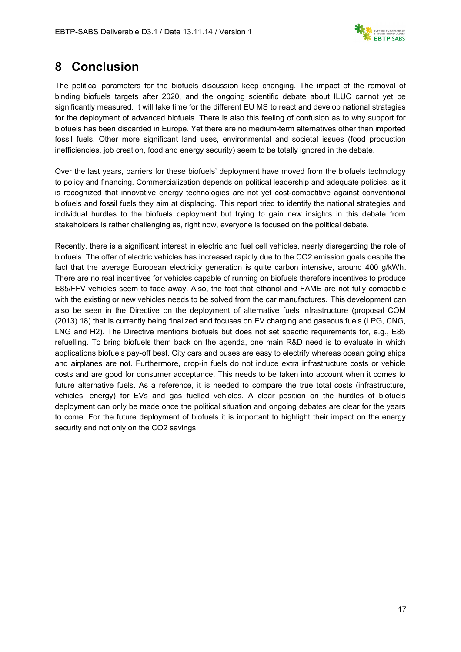

### **8 Conclusion**

The political parameters for the biofuels discussion keep changing. The impact of the removal of binding biofuels targets after 2020, and the ongoing scientific debate about ILUC cannot yet be significantly measured. It will take time for the different EU MS to react and develop national strategies for the deployment of advanced biofuels. There is also this feeling of confusion as to why support for biofuels has been discarded in Europe. Yet there are no medium-term alternatives other than imported fossil fuels. Other more significant land uses, environmental and societal issues (food production inefficiencies, job creation, food and energy security) seem to be totally ignored in the debate.

Over the last years, barriers for these biofuels' deployment have moved from the biofuels technology to policy and financing. Commercialization depends on political leadership and adequate policies, as it is recognized that innovative energy technologies are not yet cost-competitive against conventional biofuels and fossil fuels they aim at displacing. This report tried to identify the national strategies and individual hurdles to the biofuels deployment but trying to gain new insights in this debate from stakeholders is rather challenging as, right now, everyone is focused on the political debate.

Recently, there is a significant interest in electric and fuel cell vehicles, nearly disregarding the role of biofuels. The offer of electric vehicles has increased rapidly due to the CO2 emission goals despite the fact that the average European electricity generation is quite carbon intensive, around 400 g/kWh. There are no real incentives for vehicles capable of running on biofuels therefore incentives to produce E85/FFV vehicles seem to fade away. Also, the fact that ethanol and FAME are not fully compatible with the existing or new vehicles needs to be solved from the car manufactures. This development can also be seen in the Directive on the deployment of alternative fuels infrastructure (proposal COM (2013) 18) that is currently being finalized and focuses on EV charging and gaseous fuels (LPG, CNG, LNG and H2). The Directive mentions biofuels but does not set specific requirements for, e.g., E85 refuelling. To bring biofuels them back on the agenda, one main R&D need is to evaluate in which applications biofuels pay-off best. City cars and buses are easy to electrify whereas ocean going ships and airplanes are not. Furthermore, drop-in fuels do not induce extra infrastructure costs or vehicle costs and are good for consumer acceptance. This needs to be taken into account when it comes to future alternative fuels. As a reference, it is needed to compare the true total costs (infrastructure, vehicles, energy) for EVs and gas fuelled vehicles. A clear position on the hurdles of biofuels deployment can only be made once the political situation and ongoing debates are clear for the years to come. For the future deployment of biofuels it is important to highlight their impact on the energy security and not only on the CO2 savings.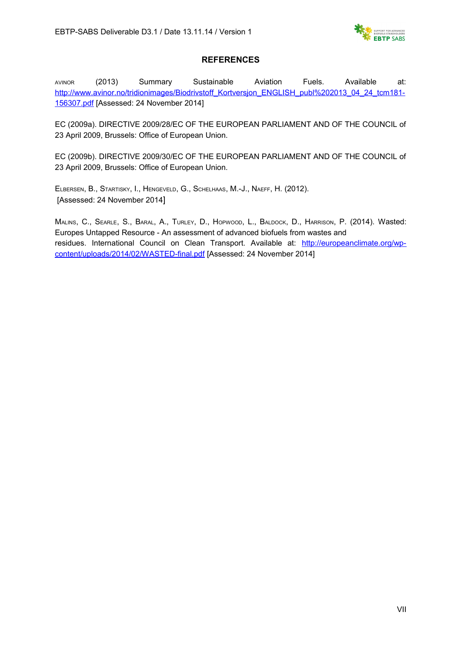

#### **REFERENCES**

AVINOR (2013) Summary Sustainable Aviation Fuels. Available at: [http://www.avinor.no/tridionimages/Biodrivstoff\\_Kortversjon\\_ENGLISH\\_publ%202013\\_04\\_24\\_tcm181-](http://www.avinor.no/tridionimages/Biodrivstoff_Kortversjon_ENGLISH_publ%202013_04_24_tcm181-156307.pdf) [156307.pdf](http://www.avinor.no/tridionimages/Biodrivstoff_Kortversjon_ENGLISH_publ%202013_04_24_tcm181-156307.pdf) [Assessed: 24 November 2014]

EC (2009a). DIRECTIVE 2009/28/EC OF THE EUROPEAN PARLIAMENT AND OF THE COUNCIL of 23 April 2009, Brussels: Office of European Union.

EC (2009b). DIRECTIVE 2009/30/EC OF THE EUROPEAN PARLIAMENT AND OF THE COUNCIL of 23 April 2009, Brussels: Office of European Union.

ELBERSEN, B., STARTISKY, I., HENGEVELD, G., SCHELHAAS, M.-J., NAEFF, H. (2012). [Assessed: 24 November 2014]

MALINS, C., SEARLE, S., BARAL, A., TURLEY, D., HOPWOOD, L., BALDOCK, D., HARRISON, P. (2014). Wasted: Europes Untapped Resource - An assessment of advanced biofuels from wastes and residues. International Council on Clean Transport. Available at: [http://europeanclimate.org/wp](http://europeanclimate.org/wp-content/uploads/2014/02/WASTED-final.pdf)[content/uploads/2014/02/WASTED-final.pdf](http://europeanclimate.org/wp-content/uploads/2014/02/WASTED-final.pdf) [Assessed: 24 November 2014]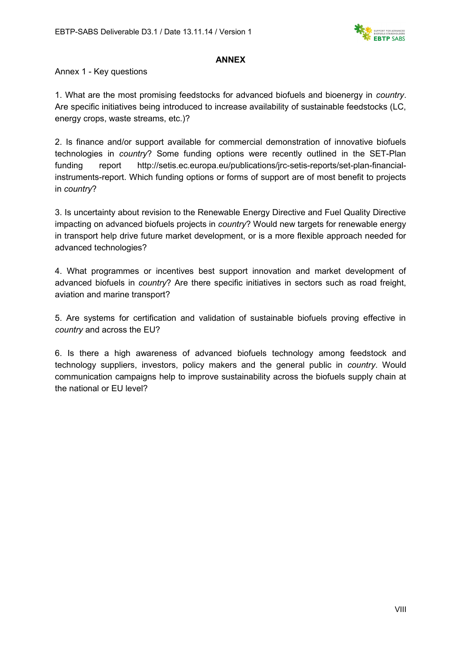

#### **ANNEX**

Annex 1 - Key questions

1. What are the most promising feedstocks for advanced biofuels and bioenergy in *country*. Are specific initiatives being introduced to increase availability of sustainable feedstocks (LC, energy crops, waste streams, etc.)?

2. Is finance and/or support available for commercial demonstration of innovative biofuels technologies in *country*? Some funding options were recently outlined in the SET-Plan funding report http://setis.ec.europa.eu/publications/jrc-setis-reports/set-plan-financialinstruments-report. Which funding options or forms of support are of most benefit to projects in *country*?

3. Is uncertainty about revision to the Renewable Energy Directive and Fuel Quality Directive impacting on advanced biofuels projects in *country*? Would new targets for renewable energy in transport help drive future market development, or is a more flexible approach needed for advanced technologies?

4. What programmes or incentives best support innovation and market development of advanced biofuels in *country*? Are there specific initiatives in sectors such as road freight, aviation and marine transport?

5. Are systems for certification and validation of sustainable biofuels proving effective in *country* and across the EU?

6. Is there a high awareness of advanced biofuels technology among feedstock and technology suppliers, investors, policy makers and the general public in *country*. Would communication campaigns help to improve sustainability across the biofuels supply chain at the national or EU level?